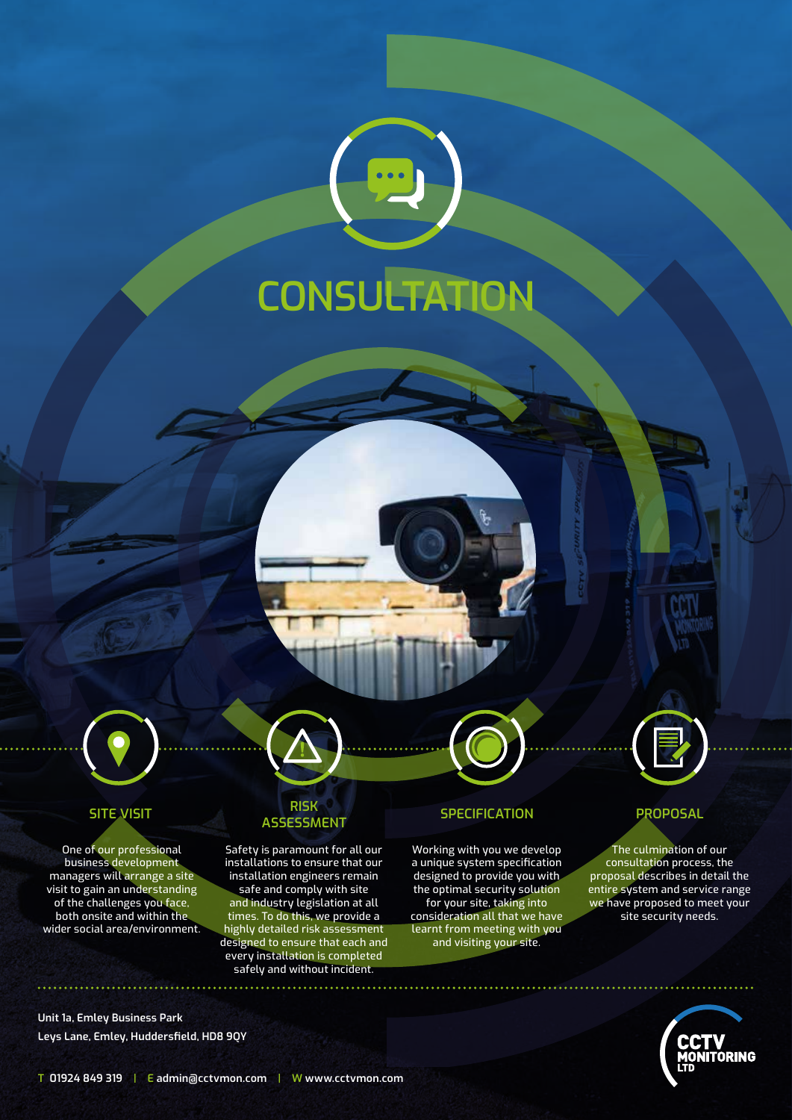



One of our professional business development managers will arrange a site visit to gain an understanding of the challenges you face, both onsite and within the wider social area/environment.

### **Unit 1a, Emley Business Park Leys Lane, Emley, Huddersfield, HD8 9QY**

## **SITE VISIT RISK ASSESSMENT SPECIFICATION PROPOSAL**

Safety is paramount for all our installations to ensure that our installation engineers remain safe and comply with site and industry legislation at all times. To do this, we provide a highly detailed risk assessment designed to ensure that each and every installation is completed safely and without incident.

Working with you we develop a unique system specification designed to provide you with the optimal security solution for your site, taking into consideration all that we have learnt from meeting with you and visiting your site.



The culmination of our consultation process, the proposal describes in detail the entire system and service range we have proposed to meet your site security needs.